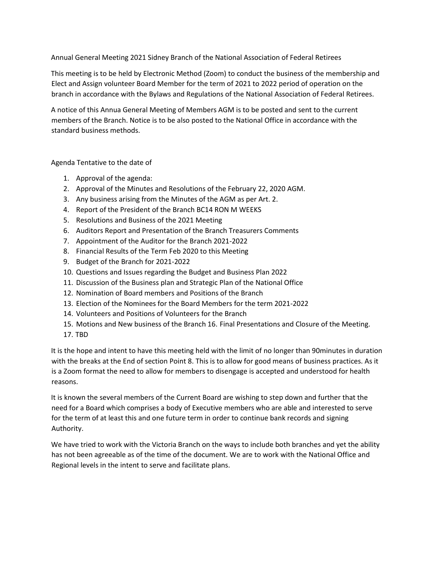Annual General Meeting 2021 Sidney Branch of the National Association of Federal Retirees

This meeting is to be held by Electronic Method (Zoom) to conduct the business of the membership and Elect and Assign volunteer Board Member for the term of 2021 to 2022 period of operation on the branch in accordance with the Bylaws and Regulations of the National Association of Federal Retirees.

A notice of this Annua General Meeting of Members AGM is to be posted and sent to the current members of the Branch. Notice is to be also posted to the National Office in accordance with the standard business methods.

## Agenda Tentative to the date of

- 1. Approval of the agenda:
- 2. Approval of the Minutes and Resolutions of the February 22, 2020 AGM.
- 3. Any business arising from the Minutes of the AGM as per Art. 2.
- 4. Report of the President of the Branch BC14 RON M WEEKS
- 5. Resolutions and Business of the 2021 Meeting
- 6. Auditors Report and Presentation of the Branch Treasurers Comments
- 7. Appointment of the Auditor for the Branch 2021-2022
- 8. Financial Results of the Term Feb 2020 to this Meeting
- 9. Budget of the Branch for 2021-2022
- 10. Questions and Issues regarding the Budget and Business Plan 2022
- 11. Discussion of the Business plan and Strategic Plan of the National Office
- 12. Nomination of Board members and Positions of the Branch
- 13. Election of the Nominees for the Board Members for the term 2021-2022
- 14. Volunteers and Positions of Volunteers for the Branch
- 15. Motions and New business of the Branch 16. Final Presentations and Closure of the Meeting.
- 17. TBD

It is the hope and intent to have this meeting held with the limit of no longer than 90minutes in duration with the breaks at the End of section Point 8. This is to allow for good means of business practices. As it is a Zoom format the need to allow for members to disengage is accepted and understood for health reasons.

It is known the several members of the Current Board are wishing to step down and further that the need for a Board which comprises a body of Executive members who are able and interested to serve for the term of at least this and one future term in order to continue bank records and signing Authority.

We have tried to work with the Victoria Branch on the ways to include both branches and yet the ability has not been agreeable as of the time of the document. We are to work with the National Office and Regional levels in the intent to serve and facilitate plans.